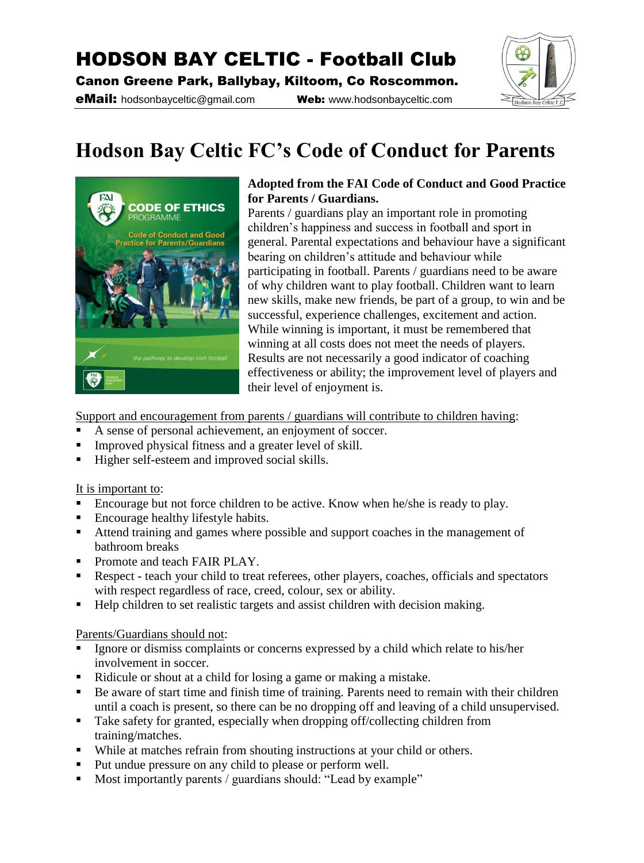## HODSON BAY CELTIC - Football Club

Canon Greene Park, Ballybay, Kiltoom, Co Roscommon.

eMail: hodsonbayceltic@gmail.com Web: www.hodsonbayceltic.com



# **Hodson Bay Celtic FC's Code of Conduct for Parents**



#### **Adopted from the FAI Code of Conduct and Good Practice for Parents / Guardians.**

Parents / guardians play an important role in promoting children's happiness and success in football and sport in general. Parental expectations and behaviour have a significant bearing on children's attitude and behaviour while participating in football. Parents / guardians need to be aware of why children want to play football. Children want to learn new skills, make new friends, be part of a group, to win and be successful, experience challenges, excitement and action. While winning is important, it must be remembered that winning at all costs does not meet the needs of players. Results are not necessarily a good indicator of coaching effectiveness or ability; the improvement level of players and their level of enjoyment is.

Support and encouragement from parents / guardians will contribute to children having:

- A sense of personal achievement, an enjoyment of soccer.
- Improved physical fitness and a greater level of skill.
- Higher self-esteem and improved social skills.

#### It is important to:

- Encourage but not force children to be active. Know when he/she is ready to play.
- Encourage healthy lifestyle habits.
- Attend training and games where possible and support coaches in the management of bathroom breaks
- Promote and teach FAIR PLAY.
- Respect teach your child to treat referees, other players, coaches, officials and spectators with respect regardless of race, creed, colour, sex or ability.
- Help children to set realistic targets and assist children with decision making.

#### Parents/Guardians should not:

- Ignore or dismiss complaints or concerns expressed by a child which relate to his/her involvement in soccer.
- Ridicule or shout at a child for losing a game or making a mistake.
- Be aware of start time and finish time of training. Parents need to remain with their children until a coach is present, so there can be no dropping off and leaving of a child unsupervised.
- Take safety for granted, especially when dropping off/collecting children from training/matches.
- While at matches refrain from shouting instructions at your child or others.
- Put undue pressure on any child to please or perform well.
- Most importantly parents / guardians should: "Lead by example"